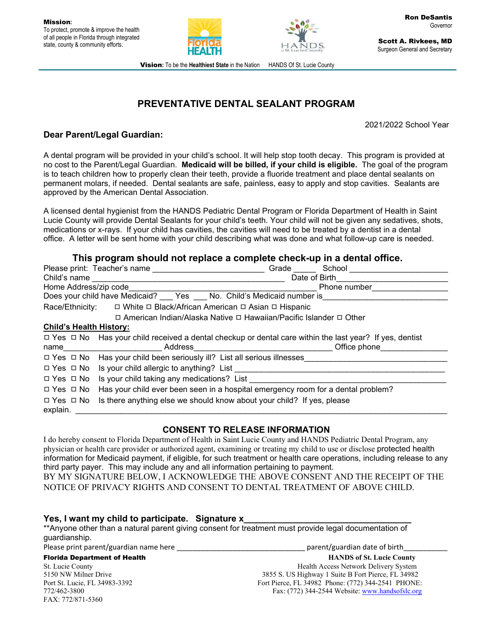



Scott A. Rivkees, MD Surgeon General and Secretary

**Vision:** To be the Healthiest State in the Nation HANDS Of St. Lucie County

# **PREVENTATIVE DENTAL SEALANT PROGRAM**

2021/2022 School Year

## **Dear Parent/Legal Guardian:**

A dental program will be provided in your child's school. It will help stop tooth decay. This program is provided at no cost to the Parent/Legal Guardian. **Medicaid will be billed, if your child is eligible.** The goal of the program is to teach children how to properly clean their teeth, provide a fluoride treatment and place dental sealants on permanent molars, if needed. Dental sealants are safe, painless, easy to apply and stop cavities. Sealants are approved by the American Dental Association.

A licensed dental hygienist from the HANDS Pediatric Dental Program or Florida Department of Health in Saint Lucie County will provide Dental Sealants for your child's teeth. Your child will not be given any sedatives, shots, medications or x-rays. If your child has cavities, the cavities will need to be treated by a dentist in a dental office. A letter will be sent home with your child describing what was done and what follow-up care is needed.

## **This program should not replace a complete check-up in a dental office.**

|                                                                           | Please print: Teacher's name                                                                                       | Grade | School        |  |
|---------------------------------------------------------------------------|--------------------------------------------------------------------------------------------------------------------|-------|---------------|--|
| Child's name                                                              |                                                                                                                    |       | Date of Birth |  |
| Home Address/zip code                                                     |                                                                                                                    |       | Phone number  |  |
| Does your child have Medicaid? ___ Yes ___ No. Child's Medicaid number is |                                                                                                                    |       |               |  |
| □ White □ Black/African American □ Asian □ Hispanic<br>Race/Ethnicity:    |                                                                                                                    |       |               |  |
| □ American Indian/Alaska Native □ Hawaiian/Pacific Islander □ Other       |                                                                                                                    |       |               |  |
| <b>Child's Health History:</b>                                            |                                                                                                                    |       |               |  |
|                                                                           | $\Box$ Yes $\Box$ No Has your child received a dental checkup or dental care within the last year? If yes, dentist |       |               |  |
| name                                                                      | Address                                                                                                            |       | Office phone  |  |
|                                                                           | $\Box$ Yes $\Box$ No Has your child been seriously ill? List all serious illnesses                                 |       |               |  |
|                                                                           | $\Box$ Yes $\Box$ No Is your child allergic to anything? List                                                      |       |               |  |
| □ Yes □ No                                                                | Is your child taking any medications? List                                                                         |       |               |  |
| $\Box$ Yes $\Box$ No                                                      | Has your child ever been seen in a hospital emergency room for a dental problem?                                   |       |               |  |
| $\Box$ Yes $\Box$ No                                                      | Is there anything else we should know about your child? If yes, please                                             |       |               |  |
| explain.                                                                  |                                                                                                                    |       |               |  |

### **CONSENT TO RELEASE INFORMATION**

I do hereby consent to Florida Department of Health in Saint Lucie County and HANDS Pediatric Dental Program, any physician or health care provider or authorized agent, examining or treating my child to use or disclose protected health information for Medicaid payment, if eligible, for such treatment or health care operations, including release to any third party payer. This may include any and all information pertaining to payment.

BY MY SIGNATURE BELOW, I ACKNOWLEDGE THE ABOVE CONSENT AND THE RECEIPT OF THE NOTICE OF PRIVACY RIGHTS AND CONSENT TO DENTAL TREATMENT OF ABOVE CHILD.

#### Yes, I want my child to participate. Signature **x**

\*\*Anyone other than a natural parent giving consent for treatment must provide legal documentation of guardianship.

Please print parent/guardian name here \_\_\_\_\_\_\_\_\_\_\_\_\_\_\_\_\_\_\_\_\_\_\_\_\_\_\_\_\_\_\_\_ parent/guardian date of birth\_\_\_\_\_\_\_\_\_\_\_

FAX: 772/871-5360

Florida Department of Health **HANDS of St. Lucie County** St. Lucie County Health Access Network Delivery System 5150 NW Milner Drive 3855 S. US Highway 1 Suite B Fort Pierce, FL 34982<br>Port St. Lucie, FL 34983-3392 Fort Pierce, FL 34982 Phone: (772) 344-2541 PHONE Fort Pierce, FL 34982 Phone: (772) 344-2541 PHONE: 772/462-3800 Fax: (772) 344-2544 Website: www.handsofslc.org